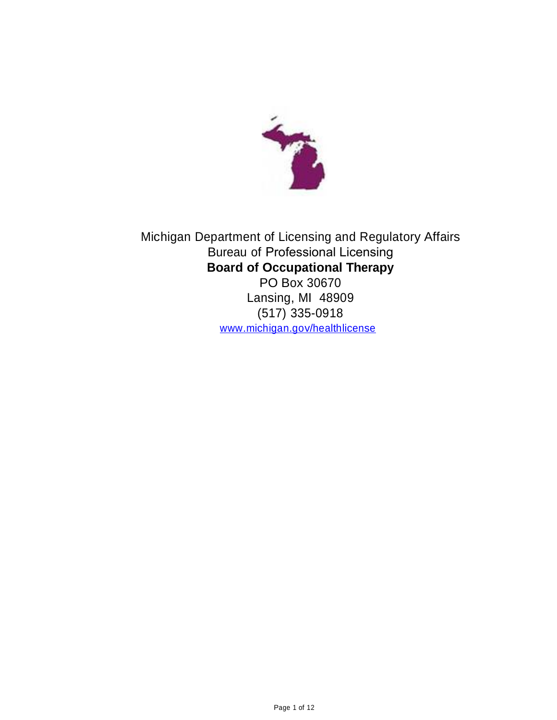

Michigan Department of Licensing and Regulatory Affairs Bureau of Professional Licensing **Board of Occupational Therapy** PO Box 30670 Lansing, MI 48909 (517) 335-0918 [www.michigan.gov/healthlicense](file:///C:/Users/PowellJ3/Downloads/www.michigan.gov/healthlicense)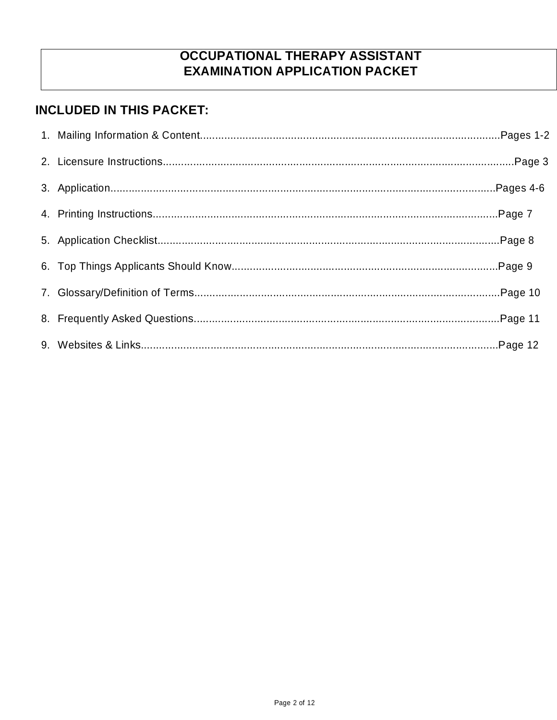## **OCCUPATIONAL THERAPY ASSISTANT EXAMINATION APPLICATION PACKET**

## **INCLUDED IN THIS PACKET:**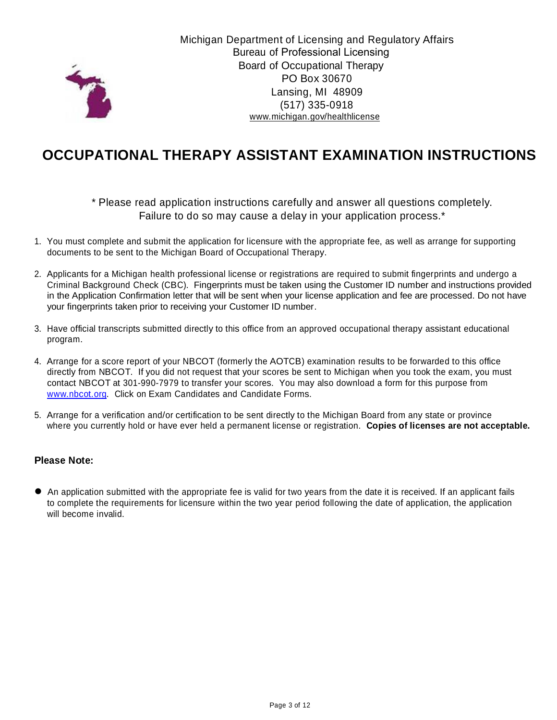

Michigan Department of Licensing and Regulatory Affairs Bureau of Professional Licensing Board of Occupational Therapy PO Box 30670 Lansing, MI 48909 (517) 335-0918 www.michigan.gov/healthlicense

## **OCCUPATIONAL THERAPY ASSISTANT EXAMINATION INSTRUCTIONS**

\* Please read application instructions carefully and answer all questions completely. Failure to do so may cause a delay in your application process.\*

- 1. You must complete and submit the application for licensure with the appropriate fee, as well as arrange for supporting documents to be sent to the Michigan Board of Occupational Therapy.
- 2. Applicants for a Michigan health professional license or registrations are required to submit fingerprints and undergo a Criminal Background Check (CBC). Fingerprints must be taken using the Customer ID number and instructions provided in the Application Confirmation letter that will be sent when your license application and fee are processed. Do not have your fingerprints taken prior to receiving your Customer ID number.
- 3. Have official transcripts submitted directly to this office from an approved occupational therapy assistant educational program.
- 4. Arrange for a score report of your NBCOT (formerly the AOTCB) examination results to be forwarded to this office directly from NBCOT. If you did not request that your scores be sent to Michigan when you took the exam, you must contact NBCOT at 301-990-7979 to transfer your scores. You may also download a form for this purpose from [www.nbcot.org.](http://www.nbcot.org/) Click on Exam Candidates and Candidate Forms.
- 5. Arrange for a verification and/or certification to be sent directly to the Michigan Board from any state or province where you currently hold or have ever held a permanent license or registration. **Copies of licenses are not acceptable.**

#### **Please Note:**

 An application submitted with the appropriate fee is valid for two years from the date it is received. If an applicant fails to complete the requirements for licensure within the two year period following the date of application, the application will become invalid.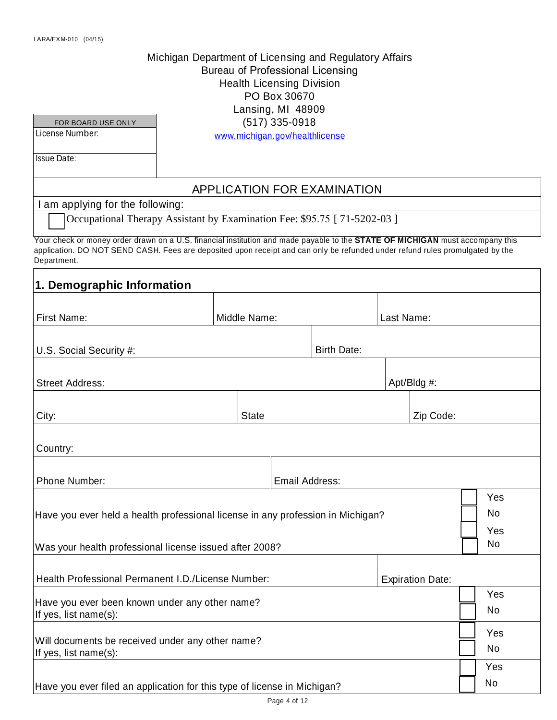### Michigan Department of Licensing and Regulatory Affairs Bureau of Professional Licensing Health Licensing Division PO Box 30670 Lansing, MI 48909 (517) 335-0918

| FOR BOARD USE ONLY |
|--------------------|
| License Number:    |

www.michigan.gov/healthlicense

Issue Date:

 $\Gamma$ 

### APPLICATION FOR EXAMINATION

I am applying for the following:

Occupational Therapy Assistant by Examination Fee: \$95.75 [ 71-5202-03 ]

Your check or money order drawn on a U.S. financial institution and made payable to the **STATE OF MICHIGAN** must accompany this application. DO NOT SEND CASH. Fees are deposited upon receipt and can only be refunded under refund rules promulgated by the Department.

| 1. Demographic Information                                                                         |  |              |                |                    |            |                  |     |
|----------------------------------------------------------------------------------------------------|--|--------------|----------------|--------------------|------------|------------------|-----|
| First Name:                                                                                        |  | Middle Name: |                |                    | Last Name: |                  |     |
| U.S. Social Security #:                                                                            |  |              |                | <b>Birth Date:</b> |            |                  |     |
| <b>Street Address:</b>                                                                             |  |              |                |                    |            | Apt/Bldg #:      |     |
| City:                                                                                              |  | <b>State</b> |                |                    |            | Zip Code:        |     |
| Country:                                                                                           |  |              |                |                    |            |                  |     |
| Phone Number:                                                                                      |  |              | Email Address: |                    |            |                  |     |
| Have you ever held a health professional license in any profession in Michigan?                    |  |              |                |                    |            | Yes<br><b>No</b> |     |
| Was your health professional license issued after 2008?                                            |  |              |                |                    | Yes<br>No  |                  |     |
| Health Professional Permanent I.D./License Number:                                                 |  |              |                |                    |            |                  |     |
| <b>Expiration Date:</b><br>Have you ever been known under any other name?<br>If yes, list name(s): |  |              |                |                    | Yes<br>No  |                  |     |
| Will documents be received under any other name?                                                   |  |              |                |                    | Yes<br>No  |                  |     |
| If yes, list name(s):                                                                              |  |              |                |                    |            |                  | Yes |
| Have you ever filed an application for this type of license in Michigan?                           |  |              |                |                    | No         |                  |     |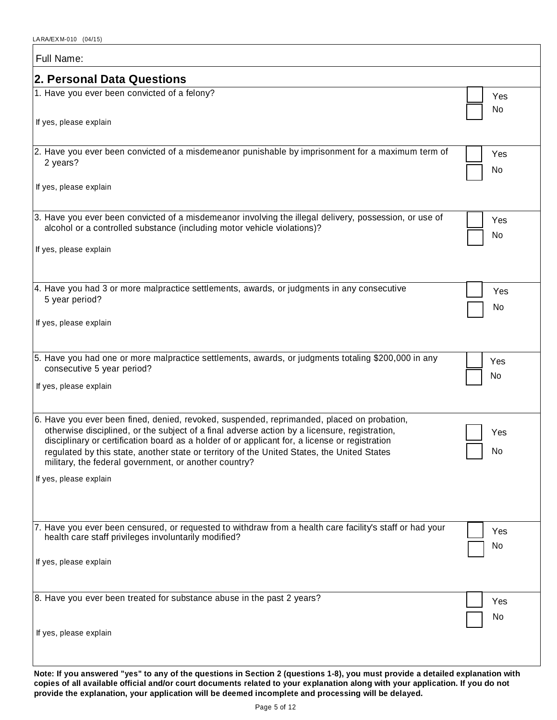| Full Name:                                                                                                                                                                                                                                                                                                                                                                                                                                            |           |
|-------------------------------------------------------------------------------------------------------------------------------------------------------------------------------------------------------------------------------------------------------------------------------------------------------------------------------------------------------------------------------------------------------------------------------------------------------|-----------|
| 2. Personal Data Questions                                                                                                                                                                                                                                                                                                                                                                                                                            |           |
| 1. Have you ever been convicted of a felony?                                                                                                                                                                                                                                                                                                                                                                                                          | Yes<br>No |
| If yes, please explain                                                                                                                                                                                                                                                                                                                                                                                                                                |           |
| 2. Have you ever been convicted of a misdemeanor punishable by imprisonment for a maximum term of<br>2 years?                                                                                                                                                                                                                                                                                                                                         | Yes<br>No |
| If yes, please explain                                                                                                                                                                                                                                                                                                                                                                                                                                |           |
| 3. Have you ever been convicted of a misdemeanor involving the illegal delivery, possession, or use of<br>alcohol or a controlled substance (including motor vehicle violations)?                                                                                                                                                                                                                                                                     | Yes<br>No |
| If yes, please explain                                                                                                                                                                                                                                                                                                                                                                                                                                |           |
| 4. Have you had 3 or more malpractice settlements, awards, or judgments in any consecutive<br>5 year period?                                                                                                                                                                                                                                                                                                                                          | Yes<br>No |
| If yes, please explain                                                                                                                                                                                                                                                                                                                                                                                                                                |           |
| 5. Have you had one or more malpractice settlements, awards, or judgments totaling \$200,000 in any<br>consecutive 5 year period?                                                                                                                                                                                                                                                                                                                     | Yes<br>No |
| If yes, please explain                                                                                                                                                                                                                                                                                                                                                                                                                                |           |
| 6. Have you ever been fined, denied, revoked, suspended, reprimanded, placed on probation,<br>otherwise disciplined, or the subject of a final adverse action by a licensure, registration,<br>disciplinary or certification board as a holder of or applicant for, a license or registration<br>regulated by this state, another state or territory of the United States, the United States<br>military, the federal government, or another country? | Yes<br>No |
| If yes, please explain                                                                                                                                                                                                                                                                                                                                                                                                                                |           |
| 7. Have you ever been censured, or requested to withdraw from a health care facility's staff or had your<br>health care staff privileges involuntarily modified?                                                                                                                                                                                                                                                                                      | Yes<br>No |
| If yes, please explain                                                                                                                                                                                                                                                                                                                                                                                                                                |           |
| 8. Have you ever been treated for substance abuse in the past 2 years?                                                                                                                                                                                                                                                                                                                                                                                | Yes<br>No |
| If yes, please explain                                                                                                                                                                                                                                                                                                                                                                                                                                |           |

Note: If you answered "yes" to any of the questions in Section 2 (questions 1-8), you must provide a detailed explanation with copies of all available official and/or court documents related to your explanation along with your application. If you do not **provide the explanation, your application will be deemed incomplete and processing will be delayed.**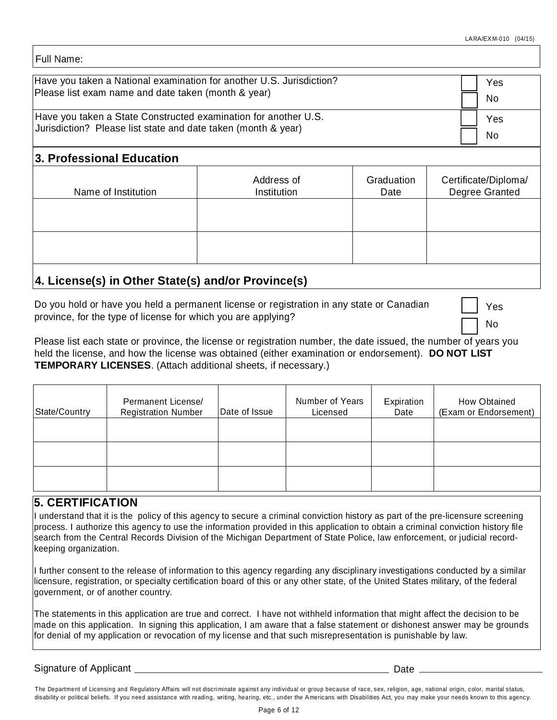Full Name:

| Have you taken a National examination for another U.S. Jurisdiction?<br>Please list exam name and date taken (month & year)      |                           |                    |                                        |  |  |
|----------------------------------------------------------------------------------------------------------------------------------|---------------------------|--------------------|----------------------------------------|--|--|
| Have you taken a State Constructed examination for another U.S.<br>Jurisdiction? Please list state and date taken (month & year) |                           |                    | Yes<br>No                              |  |  |
| 3. Professional Education                                                                                                        |                           |                    |                                        |  |  |
| Name of Institution                                                                                                              | Address of<br>Institution | Graduation<br>Date | Certificate/Diploma/<br>Degree Granted |  |  |
|                                                                                                                                  |                           |                    |                                        |  |  |

### **4. License(s) in Other State(s) and/or Province(s)**

Do you hold or have you held a permanent license or registration in any state or Canadian Yes province, for the type of license for which you are applying?  $\Box$  No

Please list each state or province, the license or registration number, the date issued, the number of years you held the license, and how the license was obtained (either examination or endorsement). **DO NOT LIST TEMPORARY LICENSES**. (Attach additional sheets, if necessary.)

| State/Country | Permanent License/<br><b>Registration Number</b> | Date of Issue | Number of Years<br>Licensed | Expiration<br>Date | <b>How Obtained</b><br>(Exam or Endorsement) |
|---------------|--------------------------------------------------|---------------|-----------------------------|--------------------|----------------------------------------------|
|               |                                                  |               |                             |                    |                                              |
|               |                                                  |               |                             |                    |                                              |
|               |                                                  |               |                             |                    |                                              |

### **5. CERTIFICATION**

I understand that it is the policy of this agency to secure a criminal conviction history as part of the pre-licensure screening process. I authorize this agency to use the information provided in this application to obtain a criminal conviction history file search from the Central Records Division of the Michigan Department of State Police, law enforcement, or judicial recordkeeping organization.

I further consent to the release of information to this agency regarding any disciplinary investigations conducted by a similar licensure, registration, or specialty certification board of this or any other state, of the United States military, of the federal government, or of another country.

The statements in this application are true and correct. I have not withheld information that might affect the decision to be made on this application. In signing this application, I am aware that a false statement or dishonest answer may be grounds for denial of my application or revocation of my license and that such misrepresentation is punishable by law.

Signature of Applicant Date

The Department of Licensing and Regulatory Affairs will not discriminate against any individual or group because of race, sex, religion, age, national origin, color, marital status, disability or political beliefs. If you need assistance with reading, writing, hearing, etc., under the Americans with Disabilities Act, you may make your needs known to this agency.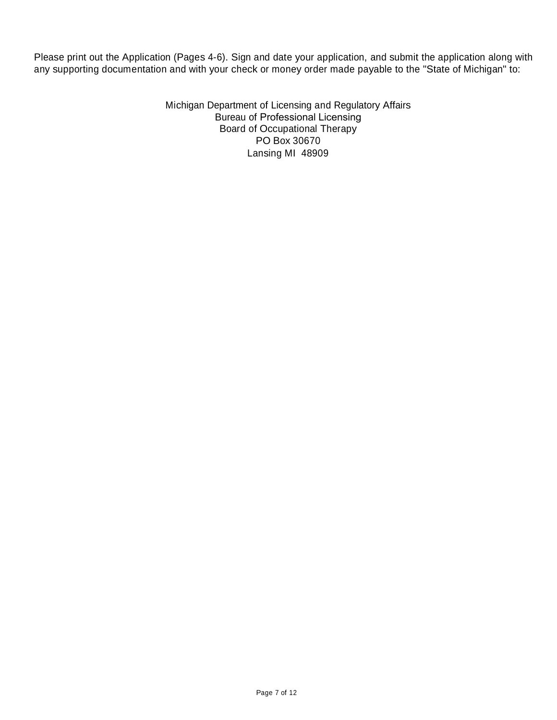Please print out the Application (Pages 4-6). Sign and date your application, and submit the application along with any supporting documentation and with your check or money order made payable to the "State of Michigan" to:

> Michigan Department of Licensing and Regulatory Affairs Bureau of Professional Licensing Board of Occupational Therapy PO Box 30670 Lansing MI 48909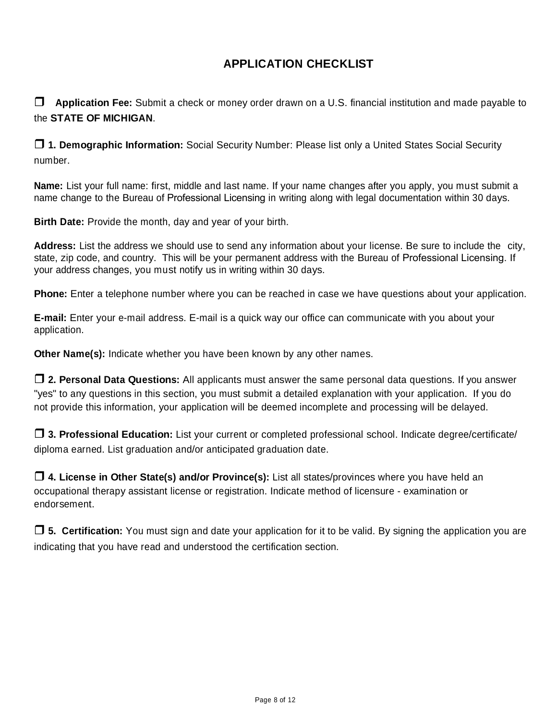### **APPLICATION CHECKLIST**

 **Application Fee:** Submit a check or money order drawn on a U.S. financial institution and made payable to the **STATE OF MICHIGAN**.

 **1. Demographic Information:** Social Security Number: Please list only a United States Social Security number.

**Name:** List your full name: first, middle and last name. If your name changes after you apply, you must submit a name change to the Bureau of Professional Licensing in writing along with legal documentation within 30 days.

**Birth Date:** Provide the month, day and year of your birth.

**Address:** List the address we should use to send any information about your license. Be sure to include the city, state, zip code, and country. This will be your permanent address with the Bureau of Professional Licensing. If your address changes, you must notify us in writing within 30 days.

**Phone:** Enter a telephone number where you can be reached in case we have questions about your application.

**E-mail:** Enter your e-mail address. E-mail is a quick way our office can communicate with you about your application.

**Other Name(s):** Indicate whether you have been known by any other names.

 **2. Personal Data Questions:** All applicants must answer the same personal data questions. If you answer "yes" to any questions in this section, you must submit a detailed explanation with your application. If you do not provide this information, your application will be deemed incomplete and processing will be delayed.

 **3. Professional Education:** List your current or completed professional school. Indicate degree/certificate/ diploma earned. List graduation and/or anticipated graduation date.

 **4. License in Other State(s) and/or Province(s):** List all states/provinces where you have held an occupational therapy assistant license or registration. Indicate method of licensure - examination or endorsement.

 **5. Certification:** You must sign and date your application for it to be valid. By signing the application you are indicating that you have read and understood the certification section.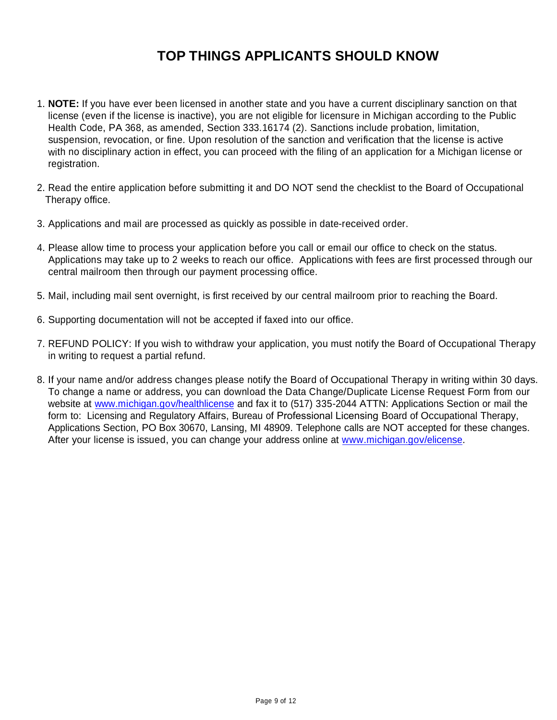## **TOP THINGS APPLICANTS SHOULD KNOW**

- 1. **NOTE:** If you have ever been licensed in another state and you have a current disciplinary sanction on that license (even if the license is inactive), you are not eligible for licensure in Michigan according to the Public Health Code, PA 368, as amended, Section 333.16174 (2). Sanctions include probation, limitation, suspension, revocation, or fine. Upon resolution of the sanction and verification that the license is active with no disciplinary action in effect, you can proceed with the filing of an application for a Michigan license or registration.
- 2. Read the entire application before submitting it and DO NOT send the checklist to the Board of Occupational Therapy office.
- 3. Applications and mail are processed as quickly as possible in date-received order.
- 4. Please allow time to process your application before you call or email our office to check on the status. Applications may take up to 2 weeks to reach our office. Applications with fees are first processed through our central mailroom then through our payment processing office.
- 5. Mail, including mail sent overnight, is first received by our central mailroom prior to reaching the Board.
- 6. Supporting documentation will not be accepted if faxed into our office.
- 7. REFUND POLICY: If you wish to withdraw your application, you must notify the Board of Occupational Therapy in writing to request a partial refund.
- 8. If your name and/or address changes please notify the Board of Occupational Therapy in writing within 30 days. To change a name or address, you can download the Data Change/Duplicate License Request Form from our website at [www.michigan.gov/healthlicense](file:///C:/Users/PowellJ3/Downloads/www.michigan.gov/healthlicense) and fax it to (517) 335-2044 ATTN: Applications Section or mail the form to: Licensing and Regulatory Affairs, Bureau of Professional Licensing Board of Occupational Therapy, Applications Section, PO Box 30670, Lansing, MI 48909. Telephone calls are NOT accepted for these changes. After your license is issued, you can change your address online at www.michigan.gov/[elicense.](file:///C:/Users/PowellJ3/Downloads/www.michigan.gov/elicense)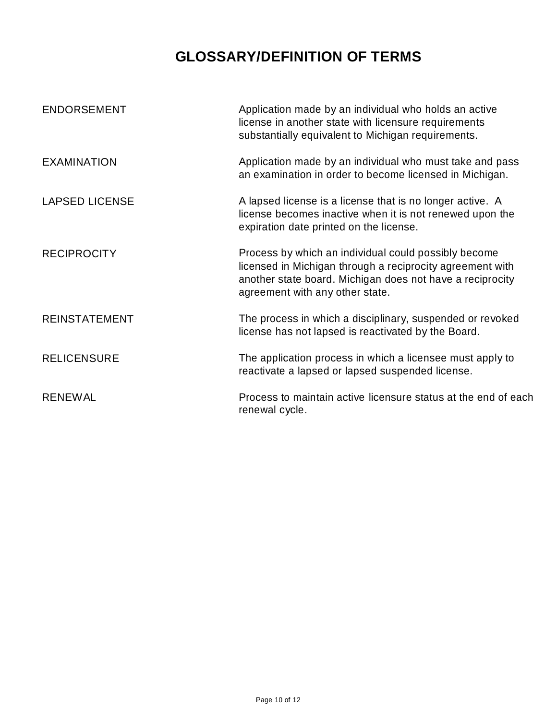# **GLOSSARY/DEFINITION OF TERMS**

| <b>ENDORSEMENT</b>    | Application made by an individual who holds an active<br>license in another state with licensure requirements<br>substantially equivalent to Michigan requirements.                                               |
|-----------------------|-------------------------------------------------------------------------------------------------------------------------------------------------------------------------------------------------------------------|
| <b>EXAMINATION</b>    | Application made by an individual who must take and pass<br>an examination in order to become licensed in Michigan.                                                                                               |
| <b>LAPSED LICENSE</b> | A lapsed license is a license that is no longer active. A<br>license becomes inactive when it is not renewed upon the<br>expiration date printed on the license.                                                  |
| <b>RECIPROCITY</b>    | Process by which an individual could possibly become<br>licensed in Michigan through a reciprocity agreement with<br>another state board. Michigan does not have a reciprocity<br>agreement with any other state. |
| <b>REINSTATEMENT</b>  | The process in which a disciplinary, suspended or revoked<br>license has not lapsed is reactivated by the Board.                                                                                                  |
| <b>RELICENSURE</b>    | The application process in which a licensee must apply to<br>reactivate a lapsed or lapsed suspended license.                                                                                                     |
| <b>RENEWAL</b>        | Process to maintain active licensure status at the end of each<br>renewal cycle.                                                                                                                                  |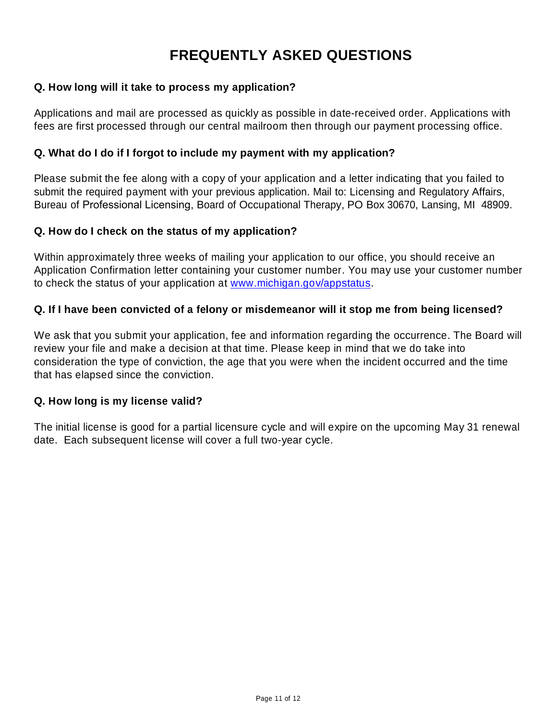## **FREQUENTLY ASKED QUESTIONS**

### **Q. How long will it take to process my application?**

Applications and mail are processed as quickly as possible in date-received order. Applications with fees are first processed through our central mailroom then through our payment processing office.

### **Q. What do I do if I forgot to include my payment with my application?**

Please submit the fee along with a copy of your application and a letter indicating that you failed to submit the required payment with your previous application. Mail to: Licensing and Regulatory Affairs, Bureau of Professional Licensing, Board of Occupational Therapy, PO Box 30670, Lansing, MI 48909.

### **Q. How do I check on the status of my application?**

Within approximately three weeks of mailing your application to our office, you should receive an Application Confirmation letter containing your customer number. You may use your customer number to check the status of your application at www.michigan.gov/appstatus.

### **Q. If I have been convicted of a felony or misdemeanor will it stop me from being licensed?**

We ask that you submit your application, fee and information regarding the occurrence. The Board will review your file and make a decision at that time. Please keep in mind that we do take into consideration the type of conviction, the age that you were when the incident occurred and the time that has elapsed since the conviction.

### **Q. How long is my license valid?**

The initial license is good for a partial licensure cycle and will expire on the upcoming May 31 renewal date. Each subsequent license will cover a full two-year cycle.